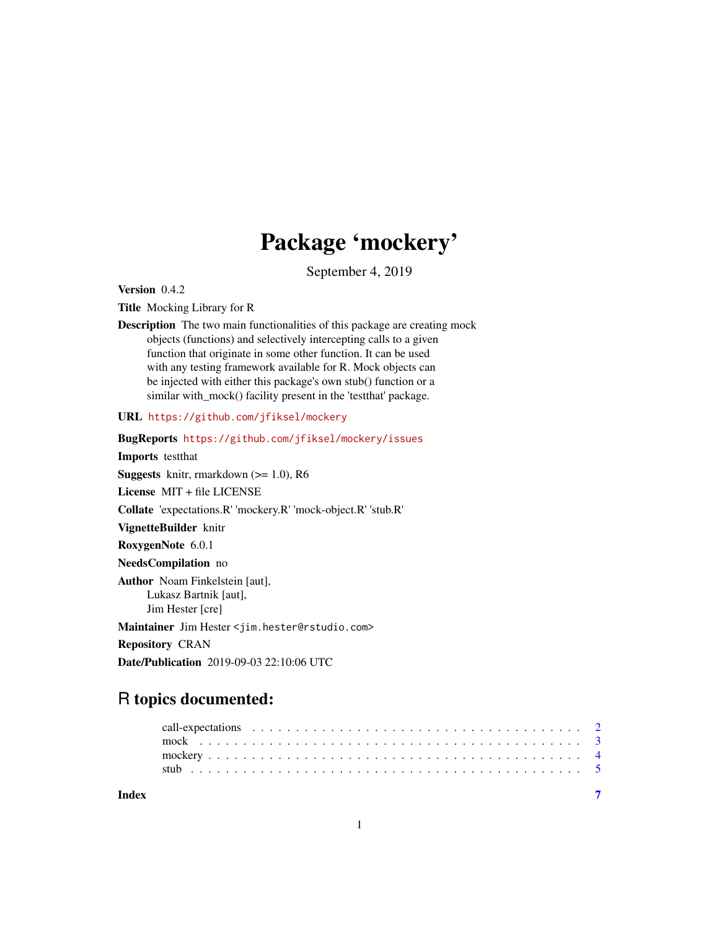## Package 'mockery'

September 4, 2019

<span id="page-0-0"></span>Version 0.4.2

Title Mocking Library for R

Description The two main functionalities of this package are creating mock objects (functions) and selectively intercepting calls to a given function that originate in some other function. It can be used with any testing framework available for R. Mock objects can be injected with either this package's own stub() function or a similar with\_mock() facility present in the 'testthat' package.

URL <https://github.com/jfiksel/mockery>

BugReports <https://github.com/jfiksel/mockery/issues> Imports testthat **Suggests** knitr, rmarkdown  $(>= 1.0)$ , R6 License MIT + file LICENSE Collate 'expectations.R' 'mockery.R' 'mock-object.R' 'stub.R' VignetteBuilder knitr RoxygenNote 6.0.1 NeedsCompilation no Author Noam Finkelstein [aut], Lukasz Bartnik [aut], Jim Hester [cre] Maintainer Jim Hester <jim.hester@rstudio.com> Repository CRAN Date/Publication 2019-09-03 22:10:06 UTC

### R topics documented:

| Index |  |
|-------|--|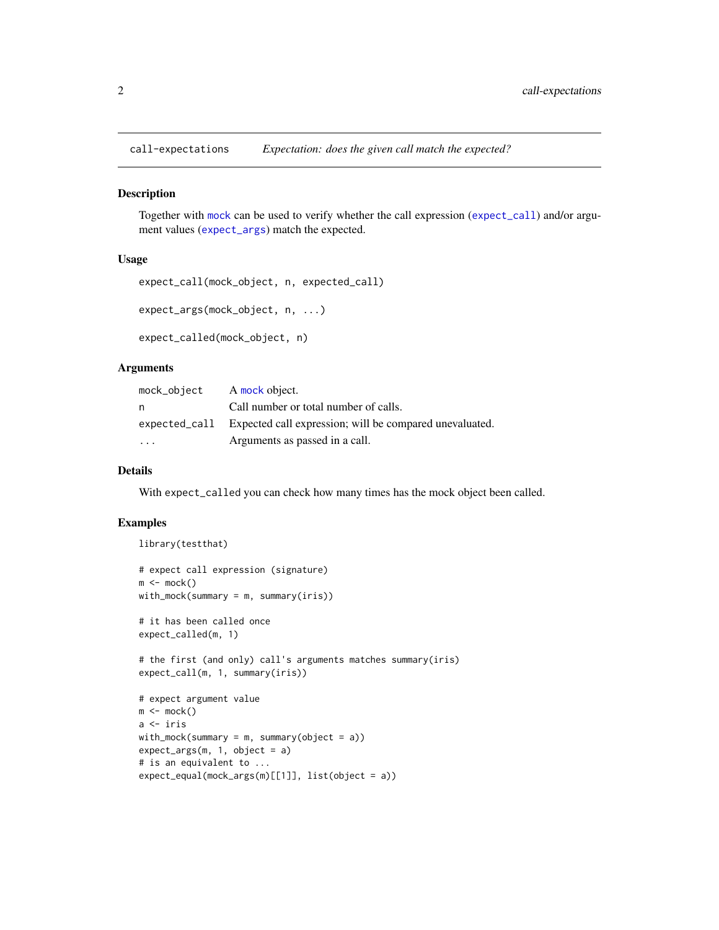<span id="page-1-0"></span>

#### <span id="page-1-1"></span>Description

Together with [mock](#page-2-1) can be used to verify whether the call expression ([expect\\_call](#page-1-1)) and/or argument values ([expect\\_args](#page-1-1)) match the expected.

#### Usage

```
expect_call(mock_object, n, expected_call)
expect_args(mock_object, n, ...)
```

```
expect_called(mock_object, n)
```
#### Arguments

| mock_object             | A mock object.                                                        |
|-------------------------|-----------------------------------------------------------------------|
| n                       | Call number or total number of calls.                                 |
|                         | expected_call Expected call expression; will be compared unevaluated. |
| $\cdot$ $\cdot$ $\cdot$ | Arguments as passed in a call.                                        |

#### Details

With expect\_called you can check how many times has the mock object been called.

#### Examples

```
library(testthat)
# expect call expression (signature)
m \leftarrow \text{mock}()with_mock(summary = m, summary(iris))
# it has been called once
expect_called(m, 1)
# the first (and only) call's arguments matches summary(iris)
expect_call(m, 1, summary(iris))
# expect argument value
m \le m \operatorname{mock}(n)a <- iris
with_mock(summary = m, summary(object = a))
expect_{args(m, 1, object = a)}# is an equivalent to ...
expect_equal(mock_args(m)[[1]], list(object = a))
```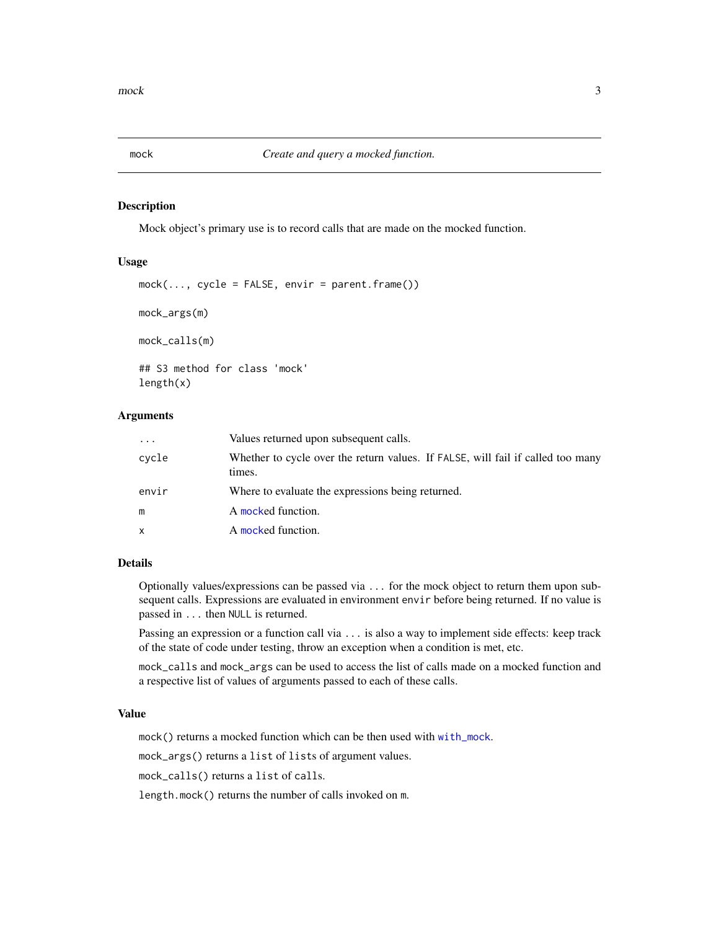<span id="page-2-1"></span><span id="page-2-0"></span>

#### Description

Mock object's primary use is to record calls that are made on the mocked function.

#### Usage

```
mock(..., cycle = FALSE, envir = parent-frame())mock_args(m)
mock_calls(m)
## S3 method for class 'mock'
length(x)
```
#### Arguments

| $\cdot$      | Values returned upon subsequent calls.                                                    |
|--------------|-------------------------------------------------------------------------------------------|
| cycle        | Whether to cycle over the return values. If FALSE, will fail if called too many<br>times. |
| envir        | Where to evaluate the expressions being returned.                                         |
| m            | A mocked function.                                                                        |
| $\mathsf{x}$ | A mocked function.                                                                        |

#### Details

Optionally values/expressions can be passed via ... for the mock object to return them upon subsequent calls. Expressions are evaluated in environment envir before being returned. If no value is passed in ... then NULL is returned.

Passing an expression or a function call via ... is also a way to implement side effects: keep track of the state of code under testing, throw an exception when a condition is met, etc.

mock\_calls and mock\_args can be used to access the list of calls made on a mocked function and a respective list of values of arguments passed to each of these calls.

#### Value

mock() returns a mocked function which can be then used with [with\\_mock](#page-0-0).

mock\_args() returns a list of lists of argument values.

mock\_calls() returns a list of calls.

length.mock() returns the number of calls invoked on m.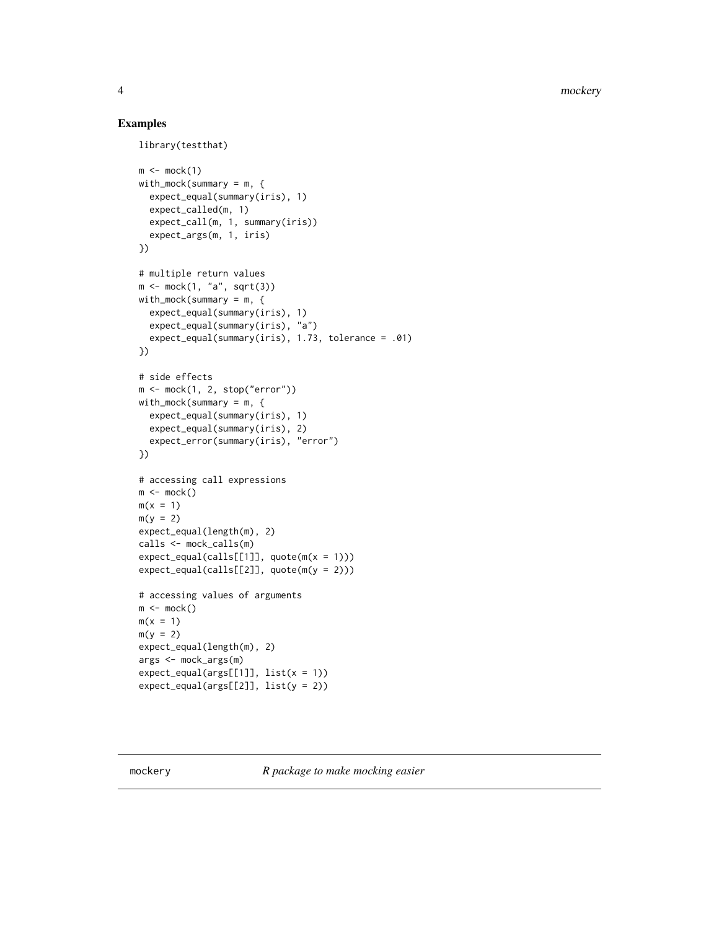4 mockery

#### Examples

```
library(testthat)
```

```
m \leftarrow \text{mock}(1)with_mock(summary = m, \{expect_equal(summary(iris), 1)
  expect_called(m, 1)
  expect_call(m, 1, summary(iris))
  expect_args(m, 1, iris)
})
# multiple return values
m \leftarrow \text{mock}(1, "a", \text{sqrt}(3))with_mock(summary = m, {
  expect_equal(summary(iris), 1)
  expect_equal(summary(iris), "a")
  expect_equal(summary(iris), 1.73, tolerance = .01)
})
# side effects
m <- mock(1, 2, stop("error"))
with_mock(summary = m, {
  expect_equal(summary(iris), 1)
  expect_equal(summary(iris), 2)
  expect_error(summary(iris), "error")
})
# accessing call expressions
m \leq -mock()m(x = 1)m(y = 2)expect_equal(length(m), 2)
calls <- mock_calls(m)
expect\_equal(calls[[1]], quote(m(x = 1)))expect\_equal(calls[[2]], quote(m(y = 2)))# accessing values of arguments
m \leftarrow \text{mock}()m(x = 1)m(y = 2)expect_equal(length(m), 2)
args <- mock_args(m)
expect\_equal(args[[1]], list(x = 1))expect\_equal(args[[2]], list(y = 2))
```
mockery *R package to make mocking easier*

<span id="page-3-0"></span>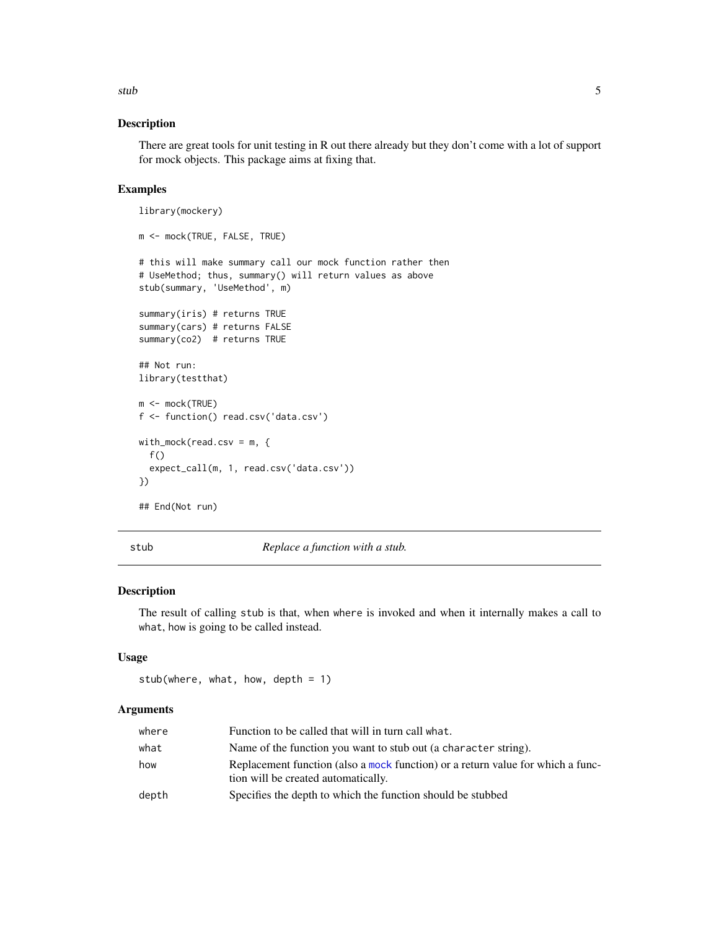<span id="page-4-0"></span>stub 5

#### Description

There are great tools for unit testing in R out there already but they don't come with a lot of support for mock objects. This package aims at fixing that.

#### Examples

```
library(mockery)
m <- mock(TRUE, FALSE, TRUE)
# this will make summary call our mock function rather then
# UseMethod; thus, summary() will return values as above
stub(summary, 'UseMethod', m)
summary(iris) # returns TRUE
summary(cars) # returns FALSE
summary(co2) # returns TRUE
## Not run:
library(testthat)
m <- mock(TRUE)
f <- function() read.csv('data.csv')
with_mock(read.csv = m, {
  f()expect_call(m, 1, read.csv('data.csv'))
})
## End(Not run)
```
stub *Replace a function with a stub.*

#### Description

The result of calling stub is that, when where is invoked and when it internally makes a call to what, how is going to be called instead.

#### Usage

```
stub(where, what, how, depth = 1)
```
#### Arguments

| where | Function to be called that will in turn call what.                                                                     |
|-------|------------------------------------------------------------------------------------------------------------------------|
| what  | Name of the function you want to stub out (a character string).                                                        |
| how   | Replacement function (also a mock function) or a return value for which a func-<br>tion will be created automatically. |
| depth | Specifies the depth to which the function should be stubbed                                                            |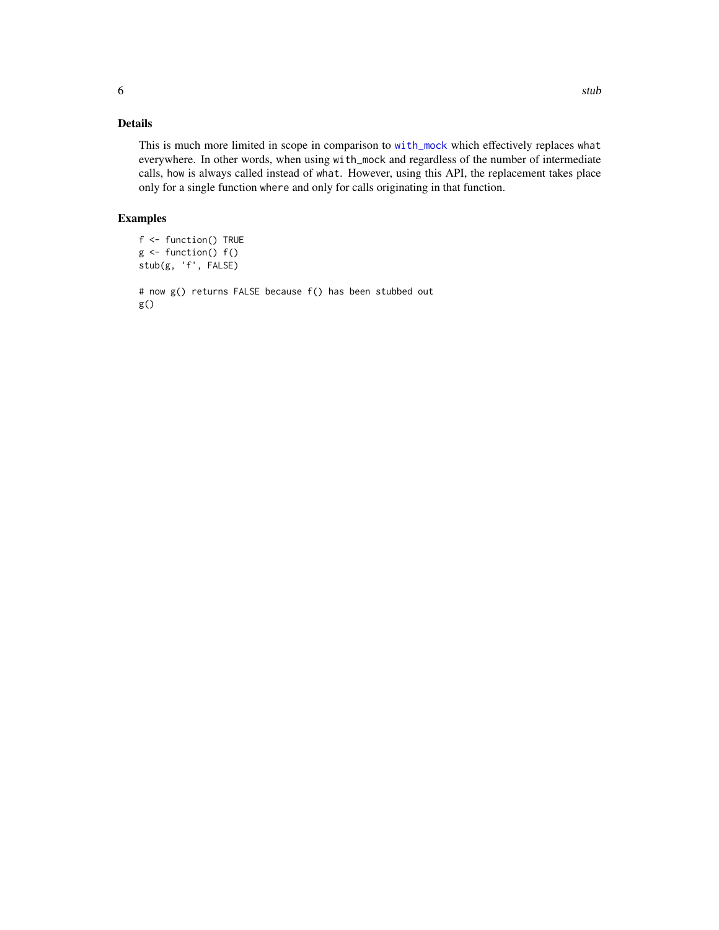#### <span id="page-5-0"></span>Details

This is much more limited in scope in comparison to [with\\_mock](#page-0-0) which effectively replaces what everywhere. In other words, when using with\_mock and regardless of the number of intermediate calls, how is always called instead of what. However, using this API, the replacement takes place only for a single function where and only for calls originating in that function.

#### Examples

```
f <- function() TRUE
g \leftarrow function() f()stub(g, 'f', FALSE)
# now g() returns FALSE because f() has been stubbed out
g()
```